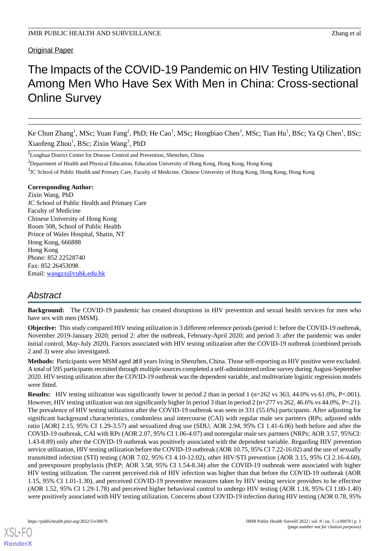#### Original Paper

# The Impacts of the COVID-19 Pandemic on HIV Testing Utilization Among Men Who Have Sex With Men in China: Cross-sectional Online Survey

Ke Chun Zhang<sup>1</sup>, MSc; Yuan Fang<sup>2</sup>, PhD; He Cao<sup>1</sup>, MSc; Hongbiao Chen<sup>1</sup>, MSc; Tian Hu<sup>1</sup>, BSc; Ya Qi Chen<sup>1</sup>, BSc; Xiaofeng Zhou<sup>1</sup>, BSc; Zixin Wang<sup>3</sup>, PhD

<sup>1</sup>Longhua District Center for Disease Control and Prevention, Shenzhen, China

<sup>3</sup>JC School of Public Health and Primary Care, Faculty of Medicine, Chinese University of Hong Kong, Hong Kong, Hong Kong

#### **Corresponding Author:**

Zixin Wang, PhD JC School of Public Health and Primary Care Faculty of Medicine Chinese University of Hong Kong Room 508, School of Public Health Prince of Wales Hospital, Shatin, NT Hong Kong, 666888 Hong Kong Phone: 852 22528740 Fax: 852 26453098 Email: [wangzx@cuhk.edu.hk](mailto:wangzx@cuhk.edu.hk)

## *Abstract*

**Background:** The COVID-19 pandemic has created disruptions in HIV prevention and sexual health services for men who have sex with men (MSM).

**Objective:** This study compared HIV testing utilization in 3 different reference periods (period 1: before the COVID-19 outbreak, November 2019-January 2020; period 2: after the outbreak, February-April 2020; and period 3: after the pandemic was under initial control, May-July 2020). Factors associated with HIV testing utilization after the COVID-19 outbreak (combined periods 2 and 3) were also investigated.

**Methods:** Participants were MSM aged ≥18 years living in Shenzhen, China. Those self-reporting as HIV positive were excluded. A total of 595 participants recruited through multiple sources completed a self-administered online survey during August-September 2020. HIV testing utilization after the COVID-19 outbreak was the dependent variable, and multivariate logistic regression models were fitted.

**Results:** HIV testing utilization was significantly lower in period 2 than in period 1 (n=262 vs 363, 44.0% vs 61.0%, P<.001). However, HIV testing utilization was not significantly higher in period 3 than in period 2 (n=277 vs 262, 46.6% vs 44.0%, P=.21). The prevalence of HIV testing utilization after the COVID-19 outbreak was seen in 331 (55.6%) participants. After adjusting for significant background characteristics, condomless anal intercourse (CAI) with regular male sex partners (RPs; adjusted odds ratio [AOR] 2.15, 95% CI 1.29-3.57) and sexualized drug use (SDU; AOR 2.94, 95% CI 1.41-6.06) both before and after the COVID-19 outbreak, CAI with RPs (AOR 2.07, 95% CI 1.06-4.07) and nonregular male sex partners (NRPs; AOR 3.57, 95%CI: 1.43-8.89) only after the COVID-19 outbreak was positively associated with the dependent variable. Regarding HIV prevention service utilization, HIV testing utilization before the COVID-19 outbreak (AOR 10.75, 95% CI 7.22-16.02) and the use of sexually transmitted infection (STI) testing (AOR 7.02, 95% CI 4.10-12.02), other HIV/STI prevention (AOR 3.15, 95% CI 2.16-4.60), and preexposure prophylaxis (PrEP; AOR 3.58, 95% CI 1.54-8.34) after the COVID-19 outbreak were associated with higher HIV testing utilization. The current perceived risk of HIV infection was higher than that before the COVID-19 outbreak (AOR 1.15, 95% CI 1.01-1.30), and perceived COVID-19 preventive measures taken by HIV testing service providers to be effective (AOR 1.52, 95% CI 1.29-1.78) and perceived higher behavioral control to undergo HIV testing (AOR 1.18, 95% CI 1.00-1.40) were positively associated with HIV testing utilization. Concerns about COVID-19 infection during HIV testing (AOR 0.78, 95%

<sup>&</sup>lt;sup>2</sup>Department of Health and Physical Education, Education University of Hong Kong, Hong Kong, Hong Kong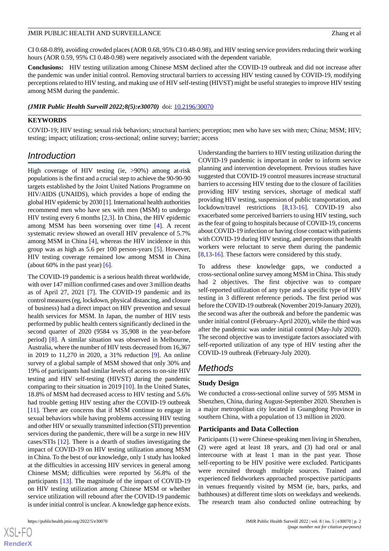CI 0.68-0.89), avoiding crowded places (AOR 0.68, 95% CI 0.48-0.98), and HIV testing service providers reducing their working hours (AOR 0.59, 95% CI 0.48-0.98) were negatively associated with the dependent variable.

**Conclusions:** HIV testing utilization among Chinese MSM declined after the COVID-19 outbreak and did not increase after the pandemic was under initial control. Removing structural barriers to accessing HIV testing caused by COVID-19, modifying perceptions related to HIV testing, and making use of HIV self-testing (HIVST) might be useful strategies to improve HIV testing among MSM during the pandemic.

*(JMIR Public Health Surveill 2022;8(5):e30070)* doi:  $10.2196/30070$ 

#### **KEYWORDS**

COVID-19; HIV testing; sexual risk behaviors; structural barriers; perception; men who have sex with men; China; MSM; HIV; testing; impact; utilization; cross-sectional; online survey; barrier; access

## *Introduction*

High coverage of HIV testing (ie, >90%) among at-risk populations is the first and a crucial step to achieve the 90-90-90 targets established by the Joint United Nations Programme on HIV/AIDS (UNAIDS), which provides a hope of ending the global HIV epidemic by 2030 [[1](#page-16-0)]. International health authorities recommend men who have sex with men (MSM) to undergo HIV testing every 6 months [\[2](#page-16-1),[3\]](#page-16-2). In China, the HIV epidemic among MSM has been worsening over time [\[4](#page-16-3)]. A recent systematic review showed an overall HIV prevalence of 5.7% among MSM in China [[4\]](#page-16-3), whereas the HIV incidence in this group was as high as 5.6 per 100 person-years [[5](#page-16-4)]. However, HIV testing coverage remained low among MSM in China (about 60% in the past year) [\[6](#page-16-5)].

The COVID-19 pandemic is a serious health threat worldwide, with over 147 million confirmed cases and over 3 million deaths as of April 27, 2021 [\[7](#page-16-6)]. The COVID-19 pandemic and its control measures (eg, lockdown, physical distancing, and closure of business) had a direct impact on HIV prevention and sexual health services for MSM. In Japan, the number of HIV tests performed by public health centers significantly declined in the second quarter of 2020 (9584 vs 35,908 in the year-before period) [[8\]](#page-16-7). A similar situation was observed in Melbourne, Australia, where the number of HIV tests decreased from 16,367 in 2019 to 11,270 in 2020, a 31% reduction [[9\]](#page-16-8). An online survey of a global sample of MSM showed that only 30% and 19% of participants had similar levels of access to on-site HIV testing and HIV self-testing (HIVST) during the pandemic comparing to their situation in 2019 [[10\]](#page-16-9). In the United States, 18.8% of MSM had decreased access to HIV testing and 5.6% had trouble getting HIV testing after the COVID-19 outbreak [[11\]](#page-16-10). There are concerns that if MSM continue to engage in sexual behaviors while having problems accessing HIV testing and other HIV or sexually transmitted infection (STI) prevention services during the pandemic, there will be a surge in new HIV cases/STIs [[12\]](#page-16-11). There is a dearth of studies investigating the impact of COVID-19 on HIV testing utilization among MSM in China. To the best of our knowledge, only 1 study has looked at the difficulties in accessing HIV services in general among Chinese MSM; difficulties were reported by 56.8% of the participants [[13\]](#page-16-12). The magnitude of the impact of COVID-19 on HIV testing utilization among Chinese MSM or whether service utilization will rebound after the COVID-19 pandemic is under initial control is unclear. A knowledge gap hence exists.

 $XSI - F($ **[RenderX](http://www.renderx.com/)** Understanding the barriers to HIV testing utilization during the COVID-19 pandemic is important in order to inform service planning and intervention development. Previous studies have suggested that COVID-19 control measures increase structural barriers to accessing HIV testing due to the closure of facilities providing HIV testing services, shortage of medical staff providing HIV testing, suspension of public transportation, and lockdown/travel restrictions [[8,](#page-16-7)[13](#page-16-12)[-16](#page-16-13)]. COVID-19 also exacerbated some perceived barriers to using HIV testing, such as the fear of going to hospitals because of COVID-19, concerns about COVID-19 infection or having close contact with patients with COVID-19 during HIV testing, and perceptions that health workers were reluctant to serve them during the pandemic [[8](#page-16-7)[,13](#page-16-12)-[16\]](#page-16-13). These factors were considered by this study.

To address these knowledge gaps, we conducted a cross-sectional online survey among MSM in China. This study had 2 objectives. The first objective was to compare self-reported utilization of any type and a specific type of HIV testing in 3 different reference periods. The first period was before the COVID-19 outbreak (November 2019-January 2020), the second was after the outbreak and before the pandemic was under initial control (February-April 2020), while the third was after the pandemic was under initial control (May-July 2020). The second objective was to investigate factors associated with self-reported utilization of any type of HIV testing after the COVID-19 outbreak (February-July 2020).

## *Methods*

#### **Study Design**

We conducted a cross-sectional online survey of 595 MSM in Shenzhen, China, during August-September 2020. Shenzhen is a major metropolitan city located in Guangdong Province in southern China, with a population of 13 million in 2020.

#### **Participants and Data Collection**

Participants (1) were Chinese-speaking men living in Shenzhen, (2) were aged at least 18 years, and (3) had oral or anal intercourse with at least 1 man in the past year. Those self-reporting to be HIV positive were excluded. Participants were recruited through multiple sources. Trained and experienced fieldworkers approached prospective participants in venues frequently visited by MSM (ie, bars, parks, and bathhouses) at different time slots on weekdays and weekends. The research team also conducted online outreaching by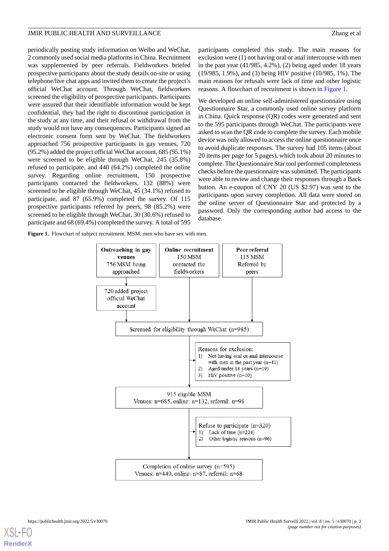periodically posting study information on Weibo and WeChat, 2 commonly used social media platforms in China. Recruitment was supplemented by peer referrals. Fieldworkers briefed prospective participants about the study details on-site or using telephone/live chat apps and invited them to create the project's official WeChat account. Through WeChat, fieldworkers screened the eligibility of prospective participants. Participants were assured that their identifiable information would be kept confidential, they had the right to discontinue participation in the study at any time, and their refusal or withdrawal from the study would not have any consequences. Participants signed an electronic consent form sent by WeChat. The fieldworkers approached 756 prospective participants in gay venues, 720 (95.2%) added the project official WeChat account, 685 (95.1%) were screened to be eligible through WeChat, 245 (35.8%) refused to participate, and 440 (64.2%) completed the online survey. Regarding online recruitment, 150 prospective participants contacted the fieldworkers, 132 (88%) were screened to be eligible through WeChat, 45 (34.1%) refused to participate, and 87 (65.9%) completed the survey. Of 115 prospective participants referred by peers, 98 (85.2%) were screened to be eligible through WeChat, 30 (30.6%) refused to participate and 68 (69.4%) completed the survey. A total of 595

exclusion were (1) not having oral or anal intercourse with men in the past year (41/985, 4.2%), (2) being aged under 18 years (19/985, 1.9%), and (3) being HIV positive (10/985, 1%). The main reasons for refusals were lack of time and other logistic reasons. A flowchart of recruitment is shown in [Figure 1.](#page-2-0)

participants completed this study. The main reasons for

We developed an online self-administered questionnaire using Questionnaire Star, a commonly used online survey platform in China. Quick response (QR) codes were generated and sent to the 595 participants through WeChat. The participants were asked to scan the QR code to complete the survey. Each mobile device was only allowed to access the online questionnaire once to avoid duplicate responses. The survey had 105 items (about 20 items per page for 5 pages), which took about 20 minutes to complete. The Questionnaire Star tool performed completeness checks before the questionnaire was submitted. The participants were able to review and change their responses through a Back button. An e-coupon of CNY 20 (US \$2.97) was sent to the participants upon survey completion. All data were stored on the online server of Questionnaire Star and protected by a password. Only the corresponding author had access to the database.

<span id="page-2-0"></span>Figure 1. Flowchart of subject recruitment. MSM: men who have sex with men.

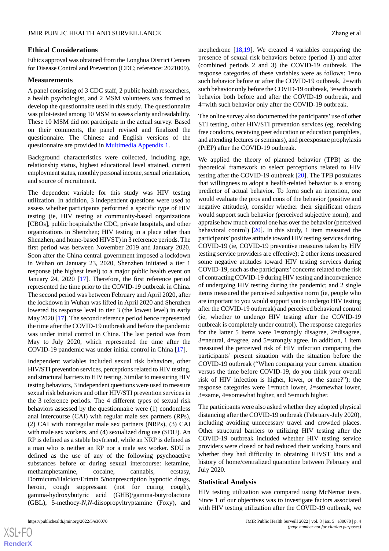#### **Ethical Considerations**

Ethics approval was obtained from the Longhua District Centers for Disease Control and Prevention (CDC; reference: 2021009).

#### **Measurements**

A panel consisting of 3 CDC staff, 2 public health researchers, a health psychologist, and 2 MSM volunteers was formed to develop the questionnaire used in this study. The questionnaire was pilot-tested among 10 MSM to assess clarity and readability. These 10 MSM did not participate in the actual survey. Based on their comments, the panel revised and finalized the questionnaire. The Chinese and English versions of the questionnaire are provided in [Multimedia Appendix 1.](#page-15-0)

Background characteristics were collected, including age, relationship status, highest educational level attained, current employment status, monthly personal income, sexual orientation, and source of recruitment.

The dependent variable for this study was HIV testing utilization. In addition, 3 independent questions were used to assess whether participants performed a specific type of HIV testing (ie, HIV testing at community-based organizations [CBOs], public hospitals/the CDC, private hospitals, and other organizations in Shenzhen; HIV testing in a place other than Shenzhen; and home-based HIVST) in 3 reference periods. The first period was between November 2019 and January 2020. Soon after the China central government imposed a lockdown in Wuhan on January 23, 2020, Shenzhen initiated a tier 1 response (the highest level) to a major public health event on January 24, 2020 [\[17](#page-16-14)]. Therefore, the first reference period represented the time prior to the COVID-19 outbreak in China. The second period was between February and April 2020, after the lockdown in Wuhan was lifted in April 2020 and Shenzhen lowered its response level to tier 3 (the lowest level) in early May 2020 [\[17](#page-16-14)]. The second reference period hence represented the time after the COVID-19 outbreak and before the pandemic was under initial control in China. The last period was from May to July 2020, which represented the time after the COVID-19 pandemic was under initial control in China [[17\]](#page-16-14).

Independent variables included sexual risk behaviors, other HIV/STI prevention services, perceptions related to HIV testing, and structural barriers to HIV testing. Similar to measuring HIV testing behaviors, 3 independent questions were used to measure sexual risk behaviors and other HIV/STI prevention services in the 3 reference periods. The 4 different types of sexual risk behaviors assessed by the questionnaire were (1) condomless anal intercourse (CAI) with regular male sex partners (RPs), (2) CAI with nonregular male sex partners (NRPs), (3) CAI with male sex workers, and (4) sexualized drug use (SDU). An RP is defined as a stable boyfriend, while an NRP is defined as a man who is neither an RP nor a male sex worker. SDU is defined as the use of any of the following psychoactive substances before or during sexual intercourse: ketamine, methamphetamine, cocaine, cannabis, ecstasy, Dormicum/Halcion/Erimin 5/nonprescription hypnotic drugs, heroin, cough suppressant (not for curing cough), gamma-hydroxybutyric acid (GHB)/gamma-butyrolactone (GBL), 5-methocy-*N*,*N*-diisopropyltryptamine (Foxy), and

 $XS$  $\cdot$ FC **[RenderX](http://www.renderx.com/)** mephedrone  $[18,19]$  $[18,19]$  $[18,19]$  $[18,19]$ . We created 4 variables comparing the presence of sexual risk behaviors before (period 1) and after (combined periods 2 and 3) the COVID-19 outbreak. The response categories of these variables were as follows: 1=no such behavior before or after the COVID-19 outbreak, 2=with such behavior only before the COVID-19 outbreak, 3=with such behavior both before and after the COVID-19 outbreak, and 4=with such behavior only after the COVID-19 outbreak.

The online survey also documented the participants'use of other STI testing, other HIV/STI prevention services (eg, receiving free condoms, receiving peer education or education pamphlets, and attending lectures or seminars), and preexposure prophylaxis (PrEP) after the COVID-19 outbreak.

We applied the theory of planned behavior (TPB) as the theoretical framework to select perceptions related to HIV testing after the COVID-19 outbreak [[20\]](#page-17-1). The TPB postulates that willingness to adopt a health-related behavior is a strong predictor of actual behavior. To form such an intention, one would evaluate the pros and cons of the behavior (positive and negative attitudes), consider whether their significant others would support such behavior (perceived subjective norm), and appraise how much control one has over the behavior (perceived behavioral control) [[20\]](#page-17-1). In this study, 1 item measured the participants'positive attitude toward HIV testing services during COVID-19 (ie, COVID-19 preventive measures taken by HIV testing service providers are effective); 2 other items measured some negative attitudes toward HIV testing services during COVID-19, such as the participants' concerns related to the risk of contracting COVID-19 during HIV testing and inconvenience of undergoing HIV testing during the pandemic; and 2 single items measured the perceived subjective norm (ie, people who are important to you would support you to undergo HIV testing after the COVID-19 outbreak) and perceived behavioral control (ie, whether to undergo HIV testing after the COVID-19 outbreak is completely under control). The response categories for the latter 5 items were 1=strongly disagree, 2=disagree, 3=neutral, 4=agree, and 5=strongly agree. In addition, 1 item measured the perceived risk of HIV infection comparing the participants' present situation with the situation before the COVID-19 outbreak ("When comparing your current situation versus the time before COVID-19, do you think your overall risk of HIV infection is higher, lower, or the same?"); the response categories were 1=much lower, 2=somewhat lower, 3=same, 4=somewhat higher, and 5=much higher.

The participants were also asked whether they adopted physical distancing after the COVID-19 outbreak (February-July 2020), including avoiding unnecessary travel and crowded places. Other structural barriers to utilizing HIV testing after the COVID-19 outbreak included whether HIV testing service providers were closed or had reduced their working hours and whether they had difficulty in obtaining HIVST kits and a history of home/centralized quarantine between February and July 2020.

#### **Statistical Analysis**

HIV testing utilization was compared using McNemar tests. Since 1 of our objectives was to investigate factors associated with HIV testing utilization after the COVID-19 outbreak, we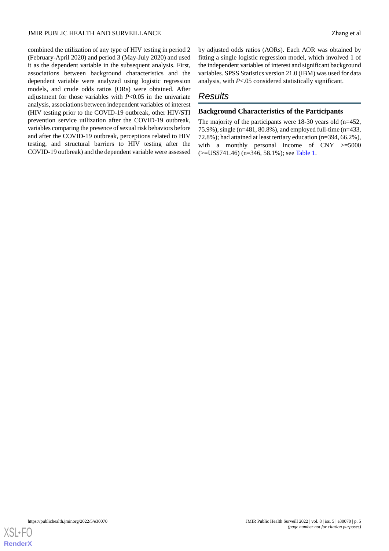combined the utilization of any type of HIV testing in period 2 (February-April 2020) and period 3 (May-July 2020) and used it as the dependent variable in the subsequent analysis. First, associations between background characteristics and the dependent variable were analyzed using logistic regression models, and crude odds ratios (ORs) were obtained. After adjustment for those variables with *P*<0.05 in the univariate analysis, associations between independent variables of interest (HIV testing prior to the COVID-19 outbreak, other HIV/STI prevention service utilization after the COVID-19 outbreak, variables comparing the presence of sexual risk behaviors before and after the COVID-19 outbreak, perceptions related to HIV testing, and structural barriers to HIV testing after the COVID-19 outbreak) and the dependent variable were assessed

by adjusted odds ratios (AORs). Each AOR was obtained by fitting a single logistic regression model, which involved 1 of the independent variables of interest and significant background variables. SPSS Statistics version 21.0 (IBM) was used for data analysis, with *P*<.05 considered statistically significant.

## *Results*

#### **Background Characteristics of the Participants**

The majority of the participants were 18-30 years old (n=452, 75.9%), single (n=481, 80.8%), and employed full-time (n=433, 72.8%); had attained at least tertiary education (n=394, 66.2%), with a monthly personal income of CNY  $\geq$ =5000 (>=US\$741.46) (n=346, 58.1%); see [Table 1](#page-5-0).

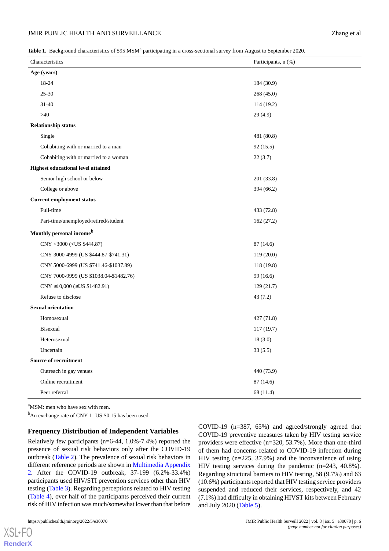<span id="page-5-0"></span>Table 1. Background characteristics of 595 MSM<sup>a</sup> participating in a cross-sectional survey from August to September 2020.

| Characteristics                                            | Participants, n (%) |  |  |  |
|------------------------------------------------------------|---------------------|--|--|--|
| Age (years)                                                |                     |  |  |  |
| 18-24                                                      | 184 (30.9)          |  |  |  |
| $25 - 30$                                                  | 268 (45.0)          |  |  |  |
| $31 - 40$                                                  | 114(19.2)           |  |  |  |
| >40                                                        | 29(4.9)             |  |  |  |
| <b>Relationship status</b>                                 |                     |  |  |  |
| Single                                                     | 481 (80.8)          |  |  |  |
| Cohabiting with or married to a man                        | 92(15.5)            |  |  |  |
| Cohabiting with or married to a woman                      | 22(3.7)             |  |  |  |
| <b>Highest educational level attained</b>                  |                     |  |  |  |
| Senior high school or below                                | 201 (33.8)          |  |  |  |
| College or above                                           | 394 (66.2)          |  |  |  |
| <b>Current employment status</b>                           |                     |  |  |  |
| Full-time                                                  | 433 (72.8)          |  |  |  |
| Part-time/unemployed/retired/student                       | 162(27.2)           |  |  |  |
| Monthly personal income <sup>b</sup>                       |                     |  |  |  |
| CNY <3000 ( <us \$444.87)<="" td=""><td>87(14.6)</td></us> | 87(14.6)            |  |  |  |
| CNY 3000-4999 (US \$444.87-\$741.31)                       | 119(20.0)           |  |  |  |
| CNY 5000-6999 (US \$741.46-\$1037.89)                      | 118 (19.8)          |  |  |  |
| CNY 7000-9999 (US \$1038.04-\$1482.76)                     | 99 (16.6)           |  |  |  |
| CNY $\geq$ 10,000 ( $\geq$ US \$1482.91)                   | 129(21.7)           |  |  |  |
| Refuse to disclose                                         | 43(7.2)             |  |  |  |
| <b>Sexual orientation</b>                                  |                     |  |  |  |
| Homosexual                                                 | 427(71.8)           |  |  |  |
| <b>Bisexual</b>                                            | 117(19.7)           |  |  |  |
| Heterosexual                                               | 18(3.0)             |  |  |  |
| Uncertain                                                  | 33(5.5)             |  |  |  |
| Source of recruitment                                      |                     |  |  |  |
| Outreach in gay venues                                     | 440 (73.9)          |  |  |  |
| Online recruitment                                         | 87(14.6)            |  |  |  |
| Peer referral                                              | 68 (11.4)           |  |  |  |

<sup>a</sup>MSM: men who have sex with men.

 $<sup>b</sup>$ An exchange rate of CNY 1=US \$0.15 has been used.</sup>

#### **Frequency Distribution of Independent Variables**

Relatively few participants (n=6-44, 1.0%-7.4%) reported the presence of sexual risk behaviors only after the COVID-19 outbreak ([Table 2](#page-6-0)). The prevalence of sexual risk behaviors in different reference periods are shown in [Multimedia Appendix](#page-16-16) [2.](#page-16-16) After the COVID-19 outbreak, 37-199 (6.2%-33.4%) participants used HIV/STI prevention services other than HIV testing ([Table 3](#page-7-0)). Regarding perceptions related to HIV testing ([Table 4\)](#page-8-0), over half of the participants perceived their current risk of HIV infection was much/somewhat lower than that before

 $X$ SL•FO **[RenderX](http://www.renderx.com/)** COVID-19 (n=387, 65%) and agreed/strongly agreed that COVID-19 preventive measures taken by HIV testing service providers were effective (n=320, 53.7%). More than one-third of them had concerns related to COVID-19 infection during HIV testing (n=225, 37.9%) and the inconvenience of using HIV testing services during the pandemic (n=243, 40.8%). Regarding structural barriers to HIV testing, 58 (9.7%) and 63 (10.6%) participants reported that HIV testing service providers suspended and reduced their services, respectively, and 42 (7.1%) had difficulty in obtaining HIVST kits between February and July 2020 ([Table 5](#page-9-0)).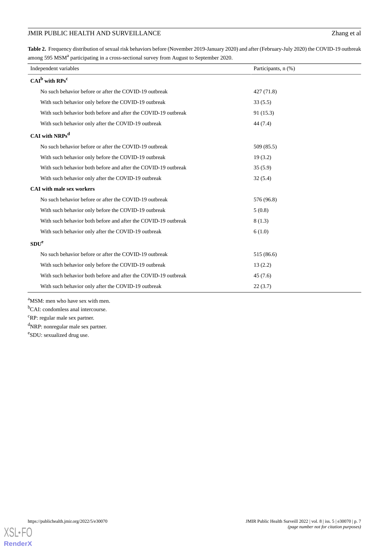<span id="page-6-0"></span>**Table 2.** Frequency distribution of sexual risk behaviors before (November 2019-January 2020) and after (February-July 2020) the COVID-19 outbreak among 595 MSM<sup>a</sup> participating in a cross-sectional survey from August to September 2020.

| Independent variables                                          | Participants, n (%) |  |  |  |
|----------------------------------------------------------------|---------------------|--|--|--|
| $CAIb$ with $RPsc$                                             |                     |  |  |  |
| No such behavior before or after the COVID-19 outbreak         | 427(71.8)           |  |  |  |
| With such behavior only before the COVID-19 outbreak           | 33(5.5)             |  |  |  |
| With such behavior both before and after the COVID-19 outbreak | 91(15.3)            |  |  |  |
| With such behavior only after the COVID-19 outbreak            | 44 (7.4)            |  |  |  |
| CAI with NRPs <sup>d</sup>                                     |                     |  |  |  |
| No such behavior before or after the COVID-19 outbreak         | 509 (85.5)          |  |  |  |
| With such behavior only before the COVID-19 outbreak           | 19(3.2)             |  |  |  |
| With such behavior both before and after the COVID-19 outbreak | 35(5.9)             |  |  |  |
| With such behavior only after the COVID-19 outbreak            | 32(5.4)             |  |  |  |
| <b>CAI</b> with male sex workers                               |                     |  |  |  |
| No such behavior before or after the COVID-19 outbreak         | 576 (96.8)          |  |  |  |
| With such behavior only before the COVID-19 outbreak           | 5(0.8)              |  |  |  |
| With such behavior both before and after the COVID-19 outbreak | 8(1.3)              |  |  |  |
| With such behavior only after the COVID-19 outbreak            | 6(1.0)              |  |  |  |
| SDU <sup>e</sup>                                               |                     |  |  |  |
| No such behavior before or after the COVID-19 outbreak         | 515 (86.6)          |  |  |  |
| With such behavior only before the COVID-19 outbreak           | 13(2.2)             |  |  |  |
| With such behavior both before and after the COVID-19 outbreak | 45(7.6)             |  |  |  |
| With such behavior only after the COVID-19 outbreak            | 22(3.7)             |  |  |  |

<sup>a</sup>MSM: men who have sex with men.

<sup>b</sup>CAI: condomless anal intercourse.

<sup>c</sup>RP: regular male sex partner.

<sup>d</sup>NRP: nonregular male sex partner.

e SDU: sexualized drug use.

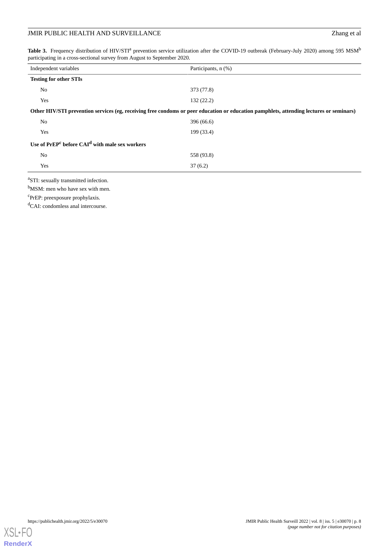<span id="page-7-0"></span>Table 3. Frequency distribution of HIV/STI<sup>a</sup> prevention service utilization after the COVID-19 outbreak (February-July 2020) among 595 MSM<sup>b</sup> participating in a cross-sectional survey from August to September 2020.

| Independent variables                                                                                                                   | Participants, n (%) |  |  |  |  |  |
|-----------------------------------------------------------------------------------------------------------------------------------------|---------------------|--|--|--|--|--|
| <b>Testing for other STIs</b>                                                                                                           |                     |  |  |  |  |  |
| N <sub>0</sub>                                                                                                                          | 373 (77.8)          |  |  |  |  |  |
| Yes                                                                                                                                     | 132(22.2)           |  |  |  |  |  |
| Other HIV/STI prevention services (eg, receiving free condoms or peer education or education pamphlets, attending lectures or seminars) |                     |  |  |  |  |  |
| N <sub>0</sub>                                                                                                                          | 396 (66.6)          |  |  |  |  |  |
| Yes                                                                                                                                     | 199 (33.4)          |  |  |  |  |  |
| Use of PrEP <sup>c</sup> before CAI <sup>d</sup> with male sex workers                                                                  |                     |  |  |  |  |  |
| N <sub>0</sub>                                                                                                                          | 558 (93.8)          |  |  |  |  |  |
| Yes                                                                                                                                     | 37(6.2)             |  |  |  |  |  |
|                                                                                                                                         |                     |  |  |  |  |  |

<sup>a</sup>STI: sexually transmitted infection.

b<sub>MSM</sub>: men who have sex with men.

c PrEP: preexposure prophylaxis.

<sup>d</sup>CAI: condomless anal intercourse.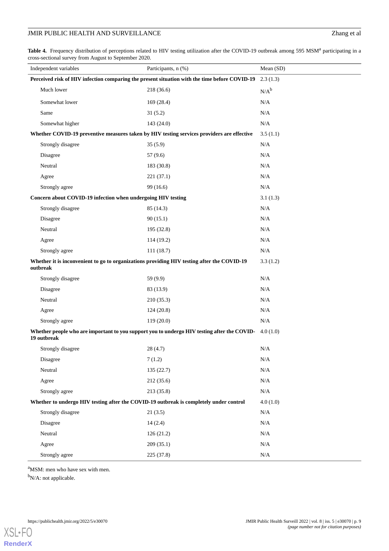<span id="page-8-0"></span>Table 4. Frequency distribution of perceptions related to HIV testing utilization after the COVID-19 outbreak among 595 MSM<sup>a</sup> participating in a cross-sectional survey from August to September 2020.

| Independent variables                                                                                  | Participants, n (%)                                                                                   | Mean (SD) |
|--------------------------------------------------------------------------------------------------------|-------------------------------------------------------------------------------------------------------|-----------|
| Perceived risk of HIV infection comparing the present situation with the time before COVID-19          | 2.3(1.3)                                                                                              |           |
| Much lower                                                                                             | 218 (36.6)                                                                                            | $N/A^b$   |
| Somewhat lower                                                                                         | 169(28.4)                                                                                             | N/A       |
| Same                                                                                                   | 31(5.2)                                                                                               | N/A       |
| Somewhat higher                                                                                        | 143(24.0)                                                                                             | N/A       |
| Whether COVID-19 preventive measures taken by HIV testing services providers are effective             |                                                                                                       | 3.5(1.1)  |
| Strongly disagree                                                                                      | 35(5.9)                                                                                               | N/A       |
| Disagree                                                                                               | 57 (9.6)                                                                                              | N/A       |
| Neutral                                                                                                | 183 (30.8)                                                                                            | N/A       |
| Agree                                                                                                  | 221 (37.1)                                                                                            | N/A       |
| Strongly agree                                                                                         | 99 (16.6)                                                                                             | N/A       |
| Concern about COVID-19 infection when undergoing HIV testing                                           |                                                                                                       | 3.1(1.3)  |
| Strongly disagree                                                                                      | 85 (14.3)                                                                                             | N/A       |
| Disagree                                                                                               | 90(15.1)                                                                                              | N/A       |
| Neutral                                                                                                | 195 (32.8)                                                                                            | N/A       |
| Agree                                                                                                  | 114 (19.2)                                                                                            | N/A       |
| Strongly agree                                                                                         | 111(18.7)                                                                                             | N/A       |
| Whether it is inconvenient to go to organizations providing HIV testing after the COVID-19<br>outbreak |                                                                                                       | 3.3(1.2)  |
| Strongly disagree                                                                                      | 59 (9.9)                                                                                              | N/A       |
| Disagree                                                                                               | 83 (13.9)                                                                                             | N/A       |
| Neutral                                                                                                | 210 (35.3)                                                                                            | N/A       |
| Agree                                                                                                  | 124(20.8)                                                                                             | N/A       |
| Strongly agree                                                                                         | 119 (20.0)                                                                                            | N/A       |
| 19 outbreak                                                                                            | Whether people who are important to you support you to undergo HIV testing after the COVID- 4.0 (1.0) |           |
| Strongly disagree                                                                                      | 28(4.7)                                                                                               | N/A       |
| Disagree                                                                                               | 7(1.2)                                                                                                | N/A       |
| Neutral                                                                                                | 135 (22.7)                                                                                            | $\rm N/A$ |
| Agree                                                                                                  | 212 (35.6)                                                                                            | $\rm N/A$ |
| Strongly agree                                                                                         | 213 (35.8)                                                                                            | N/A       |
| Whether to undergo HIV testing after the COVID-19 outbreak is completely under control                 |                                                                                                       | 4.0(1.0)  |
| Strongly disagree                                                                                      | 21(3.5)                                                                                               | $\rm N/A$ |
| Disagree                                                                                               | 14(2.4)                                                                                               | $\rm N/A$ |
| Neutral                                                                                                | 126(21.2)                                                                                             | N/A       |
| Agree                                                                                                  | 209 (35.1)                                                                                            | $\rm N/A$ |
| Strongly agree                                                                                         | 225 (37.8)                                                                                            | $\rm N/A$ |

<sup>a</sup>MSM: men who have sex with men.

<sup>b</sup>N/A: not applicable.

**[RenderX](http://www.renderx.com/)**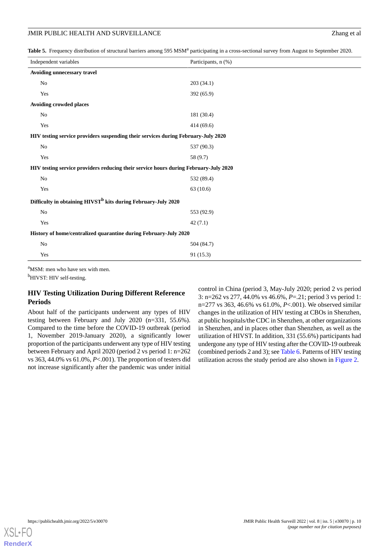<span id="page-9-0"></span>Table 5. Frequency distribution of structural barriers among 595 MSM<sup>a</sup> participating in a cross-sectional survey from August to September 2020.

| Independent variables                                                                | Participants, n (%) |  |  |  |
|--------------------------------------------------------------------------------------|---------------------|--|--|--|
| Avoiding unnecessary travel                                                          |                     |  |  |  |
| No                                                                                   | 203 (34.1)          |  |  |  |
| Yes                                                                                  | 392 (65.9)          |  |  |  |
| Avoiding crowded places                                                              |                     |  |  |  |
| No                                                                                   | 181 (30.4)          |  |  |  |
| Yes                                                                                  | 414 (69.6)          |  |  |  |
| HIV testing service providers suspending their services during February-July 2020    |                     |  |  |  |
| No                                                                                   | 537 (90.3)          |  |  |  |
| Yes                                                                                  | 58 (9.7)            |  |  |  |
| HIV testing service providers reducing their service hours during February-July 2020 |                     |  |  |  |
| No                                                                                   | 532 (89.4)          |  |  |  |
| Yes                                                                                  | 63(10.6)            |  |  |  |
| Difficulty in obtaining HIVST <sup>b</sup> kits during February-July 2020            |                     |  |  |  |
| No                                                                                   | 553 (92.9)          |  |  |  |
| Yes                                                                                  | 42(7.1)             |  |  |  |
| History of home/centralized quarantine during February-July 2020                     |                     |  |  |  |
| No                                                                                   | 504 (84.7)          |  |  |  |
| Yes                                                                                  | 91(15.3)            |  |  |  |
|                                                                                      |                     |  |  |  |

<sup>a</sup>MSM: men who have sex with men.

<sup>b</sup>HIVST: HIV self-testing.

#### **HIV Testing Utilization During Different Reference Periods**

About half of the participants underwent any types of HIV testing between February and July 2020 (n=331, 55.6%). Compared to the time before the COVID-19 outbreak (period 1, November 2019-January 2020), a significantly lower proportion of the participants underwent any type of HIV testing between February and April 2020 (period 2 vs period 1: n=262 vs 363, 44.0% vs 61.0%, *P*<.001). The proportion of testers did not increase significantly after the pandemic was under initial

control in China (period 3, May-July 2020; period 2 vs period 3: n=262 vs 277, 44.0% vs 46.6%, *P*=.21; period 3 vs period 1: n=277 vs 363, 46.6% vs 61.0%, *P*<.001). We observed similar changes in the utilization of HIV testing at CBOs in Shenzhen, at public hospitals/the CDC in Shenzhen, at other organizations in Shenzhen, and in places other than Shenzhen, as well as the utilization of HIVST. In addition, 331 (55.6%) participants had undergone any type of HIV testing after the COVID-19 outbreak (combined periods 2 and 3); see [Table 6](#page-10-0). Patterns of HIV testing utilization across the study period are also shown in [Figure 2.](#page-11-0)

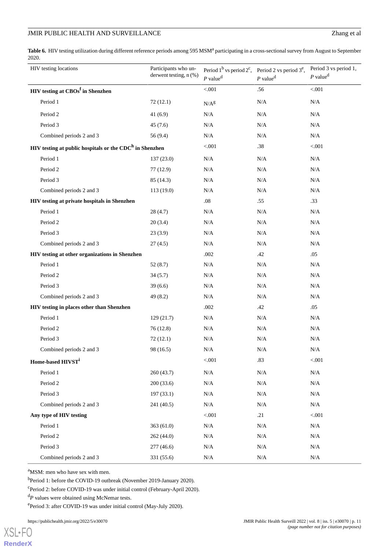<span id="page-10-0"></span>Table 6. HIV testing utilization during different reference periods among 595 MSM<sup>a</sup> participating in a cross-sectional survey from August to September 2020.

| HIV testing locations                                       | Participants who un-<br>derwent testing, n (%) | $P$ value <sup>d</sup> | Period $1^b$ vs period $2^c$ , Period 2 vs period $3^e$ ,<br>$P$ value <sup>d</sup> | Period 3 vs period 1,<br>$P$ value <sup>d</sup> |
|-------------------------------------------------------------|------------------------------------------------|------------------------|-------------------------------------------------------------------------------------|-------------------------------------------------|
| HIV testing at CBOs <sup>f</sup> in Shenzhen                |                                                | < 0.001                | .56                                                                                 | < .001                                          |
| Period 1                                                    | 72(12.1)                                       | $N/A^g$                | N/A                                                                                 | N/A                                             |
| Period 2                                                    | 41(6.9)                                        | $\rm N/A$              | N/A                                                                                 | N/A                                             |
| Period 3                                                    | 45 (7.6)                                       | $\rm N/A$              | $\rm N/A$                                                                           | N/A                                             |
| Combined periods 2 and 3                                    | 56(9.4)<br>N/A<br>N/A                          |                        | N/A                                                                                 |                                                 |
| $HIV$ testing at public hospitals or the $CDCh$ in Shenzhen |                                                | < .001                 | $.38\,$                                                                             | < 0.001                                         |
| Period 1                                                    | 137(23.0)                                      | N/A                    | $\rm N/A$                                                                           | N/A                                             |
| Period 2                                                    | 77 (12.9)                                      | N/A                    | $\rm N/A$                                                                           | N/A                                             |
| Period 3                                                    | 85 (14.3)                                      | $\rm N/A$              | $\rm N/A$                                                                           | N/A                                             |
| Combined periods 2 and 3                                    | 113(19.0)                                      | N/A                    | N/A                                                                                 | $\rm N/A$                                       |
| HIV testing at private hospitals in Shenzhen                |                                                | $.08\,$                | .55                                                                                 | .33                                             |
| Period 1                                                    | 28(4.7)                                        | $\rm N/A$              | $\rm N/A$                                                                           | N/A                                             |
| Period 2                                                    | 20(3.4)                                        | N/A                    | N/A                                                                                 | N/A                                             |
| Period 3                                                    | 23(3.9)                                        | N/A                    | N/A                                                                                 | N/A                                             |
| Combined periods 2 and 3                                    | 27(4.5)                                        | N/A                    | N/A                                                                                 | N/A                                             |
| HIV testing at other organizations in Shenzhen              |                                                | .002                   | .42                                                                                 | .05                                             |
| Period 1                                                    | 52(8.7)                                        | N/A                    | N/A                                                                                 | N/A                                             |
| Period 2                                                    | 34(5.7)                                        | N/A                    | N/A                                                                                 | N/A                                             |
| Period 3                                                    | 39(6.6)                                        | N/A                    | N/A                                                                                 | N/A                                             |
| Combined periods 2 and 3                                    | 49(8.2)                                        | N/A                    | N/A                                                                                 | N/A                                             |
| HIV testing in places other than Shenzhen                   |                                                | .002                   | .42                                                                                 | .05                                             |
| Period 1                                                    | 129(21.7)                                      | N/A                    | $\rm N/A$                                                                           | N/A                                             |
| Period 2                                                    | 76 (12.8)                                      | N/A                    | N/A                                                                                 | N/A                                             |
| Period 3                                                    | 72(12.1)                                       | N/A                    | N/A                                                                                 | N/A                                             |
| Combined periods 2 and 3                                    | 98 (16.5)                                      | N/A                    | N/A                                                                                 | N/A                                             |
| Home-based HIVST <sup>i</sup>                               |                                                | $< 001$                | .83                                                                                 | < 0.001                                         |
| Period 1                                                    | 260 (43.7)                                     | $\rm N/A$              | $\rm N/A$                                                                           | $\rm N/A$                                       |
| Period 2                                                    | 200(33.6)                                      | N/A                    | $\rm N/A$                                                                           | N/A                                             |
| Period 3                                                    | 197(33.1)                                      | $\rm N/A$              | N/A                                                                                 | N/A                                             |
| Combined periods 2 and 3                                    | 241 (40.5)                                     | N/A                    | N/A                                                                                 | N/A                                             |
| Any type of HIV testing                                     |                                                | < 0.001                | .21                                                                                 | < 0.001                                         |
| Period 1                                                    | 363(61.0)                                      | $\rm N/A$              | $\rm N/A$                                                                           | $\rm N/A$                                       |
| Period 2                                                    | 262 (44.0)                                     | N/A                    | N/A                                                                                 | N/A                                             |
| Period 3                                                    | 277(46.6)                                      | N/A                    | N/A                                                                                 | $\rm N/A$                                       |
| Combined periods 2 and 3                                    | 331 (55.6)                                     | $\rm N/A$              | $\rm N/A$                                                                           | $\rm N/A$                                       |

<sup>a</sup>MSM: men who have sex with men.

<sup>b</sup>Period 1: before the COVID-19 outbreak (November 2019-January 2020).

c Period 2: before COVID-19 was under initial control (February-April 2020).

<sup>d</sup>P values were obtained using McNemar tests.

ePeriod 3: after COVID-19 was under initial control (May-July 2020).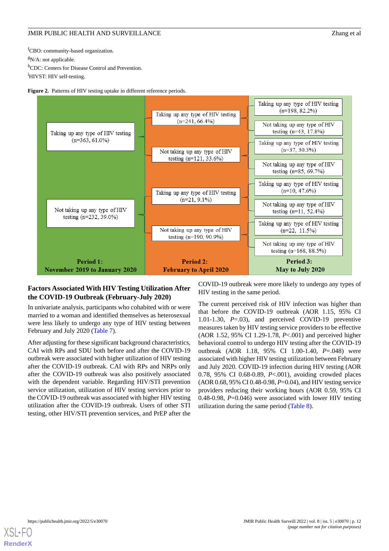<sup>f</sup>CBO: community-based organization.  $gN/A$ : not applicable. hCDC: Centers for Disease Control and Prevention. <sup>i</sup>HIVST: HIV self-testing.

<span id="page-11-0"></span>



#### **Factors Associated With HIV Testing Utilization After the COVID-19 Outbreak (February-July 2020)**

In univariate analysis, participants who cohabited with or were married to a woman and identified themselves as heterosexual were less likely to undergo any type of HIV testing between February and July 2020 [\(Table 7](#page-12-0)).

After adjusting for these significant background characteristics, CAI with RPs and SDU both before and after the COVID-19 outbreak were associated with higher utilization of HIV testing after the COVID-19 outbreak. CAI with RPs and NRPs only after the COVID-19 outbreak was also positively associated with the dependent variable. Regarding HIV/STI prevention service utilization, utilization of HIV testing services prior to the COVID-19 outbreak was associated with higher HIV testing utilization after the COVID-19 outbreak. Users of other STI testing, other HIV/STI prevention services, and PrEP after the

COVID-19 outbreak were more likely to undergo any types of HIV testing in the same period.

The current perceived risk of HIV infection was higher than that before the COVID-19 outbreak (AOR 1.15, 95% CI 1.01-1.30, *P*=.03), and perceived COVID-19 preventive measures taken by HIV testing service providers to be effective (AOR 1.52, 95% CI 1.29-1.78, *P*<.001) and perceived higher behavioral control to undergo HIV testing after the COVID-19 outbreak (AOR 1.18, 95% CI 1.00-1.40, *P*=.048) were associated with higher HIV testing utilization between February and July 2020. COVID-19 infection during HIV testing (AOR 0.78, 95% CI 0.68-0.89, *P*<.001), avoiding crowded places (AOR 0.68, 95% CI 0.48-0.98, *P*=0.04), and HIV testing service providers reducing their working hours (AOR 0.59, 95% CI 0.48-0.98, *P*=0.046) were associated with lower HIV testing utilization during the same period [\(Table 8\)](#page-13-0).

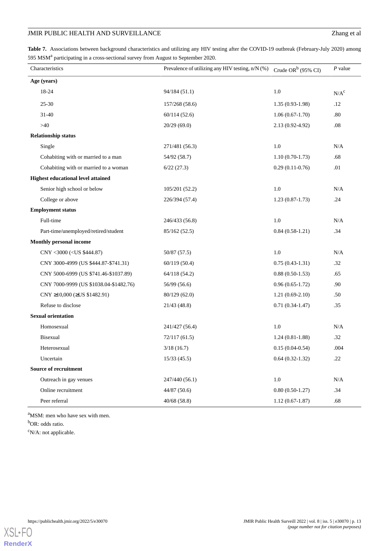<span id="page-12-0"></span>Table 7. Associations between background characteristics and utilizing any HIV testing after the COVID-19 outbreak (February-July 2020) among 595 MSM<sup>a</sup> participating in a cross-sectional survey from August to September 2020.

| Characteristics                                                                        | Prevalence of utilizing any HIV testing, n/N (%) | Crude OR $b$ (95% CI) | $P$ value        |
|----------------------------------------------------------------------------------------|--------------------------------------------------|-----------------------|------------------|
| Age (years)                                                                            |                                                  |                       |                  |
| 18-24                                                                                  | 94/184(51.1)                                     | $1.0\,$               | N/A <sup>c</sup> |
| $25 - 30$                                                                              | 157/268 (58.6)                                   | $1.35(0.93-1.98)$     | .12              |
| $31 - 40$                                                                              | 60/114(52.6)                                     | $1.06(0.67-1.70)$     | .80              |
| >40                                                                                    | 20/29(69.0)                                      | 2.13 (0.92-4.92)      | $.08\,$          |
| <b>Relationship status</b>                                                             |                                                  |                       |                  |
| Single                                                                                 | 271/481 (56.3)                                   | 1.0                   | N/A              |
| Cohabiting with or married to a man                                                    | 54/92 (58.7)                                     | $1.10(0.70-1.73)$     | .68              |
| Cohabiting with or married to a woman                                                  | 6/22(27.3)                                       | $0.29(0.11-0.76)$     | .01              |
| <b>Highest educational level attained</b>                                              |                                                  |                       |                  |
| Senior high school or below                                                            | 105/201 (52.2)                                   | $1.0\,$               | N/A              |
| College or above                                                                       | 226/394 (57.4)                                   | $1.23(0.87-1.73)$     | .24              |
| <b>Employment status</b>                                                               |                                                  |                       |                  |
| Full-time                                                                              | 246/433 (56.8)                                   | $1.0\,$               | N/A              |
| Part-time/unemployed/retired/student                                                   | 85/162 (52.5)                                    | $0.84(0.58-1.21)$     | .34              |
| Monthly personal income                                                                |                                                  |                       |                  |
| CNY <3000 ( <us \$444.87)<="" td=""><td>50/87 (57.5)</td><td>1.0</td><td>N/A</td></us> | 50/87 (57.5)                                     | 1.0                   | N/A              |
| CNY 3000-4999 (US \$444.87-\$741.31)                                                   | 60/119(50.4)                                     | $0.75(0.43-1.31)$     | .32              |
| CNY 5000-6999 (US \$741.46-\$1037.89)                                                  | 64/118 (54.2)                                    | $0.88(0.50-1.53)$     | .65              |
| CNY 7000-9999 (US \$1038.04-\$1482.76)                                                 | 56/99 (56.6)                                     | $0.96(0.65-1.72)$     | .90              |
| CNY $\geq$ 10,000 ( $\geq$ US \$1482.91)                                               | 80/129(62.0)                                     | $1.21(0.69-2.10)$     | .50              |
| Refuse to disclose                                                                     | 21/43(48.8)                                      | $0.71(0.34-1.47)$     | .35              |
| <b>Sexual orientation</b>                                                              |                                                  |                       |                  |
| Homosexual                                                                             | 241/427 (56.4)                                   | $1.0\,$               | N/A              |
| Bisexual                                                                               | 72/117(61.5)                                     | $1.24(0.81-1.88)$     | .32              |
| Heterosexual                                                                           | 3/18(16.7)                                       | $0.15(0.04-0.54)$     | .004             |
| Uncertain                                                                              | 15/33(45.5)                                      | $0.64(0.32-1.32)$     | .22              |
| Source of recruitment                                                                  |                                                  |                       |                  |
| Outreach in gay venues                                                                 | 247/440 (56.1)                                   | $1.0\,$               | $\rm N/A$        |
| Online recruitment                                                                     | 44/87(50.6)                                      | $0.80(0.50-1.27)$     | .34              |
| Peer referral                                                                          | 40/68(58.8)                                      | $1.12(0.67-1.87)$     | .68              |

<sup>a</sup>MSM: men who have sex with men.

b<sub>OR</sub>: odds ratio.

 $\rm ^{c}N/A$ : not applicable.

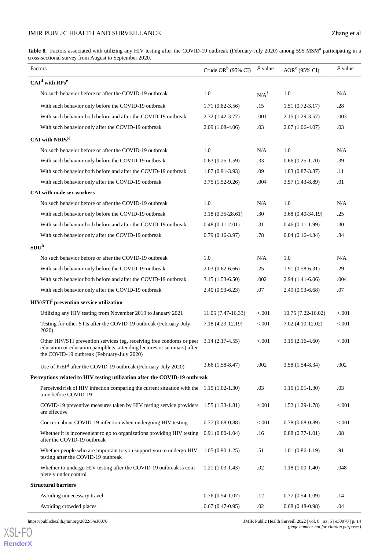<span id="page-13-0"></span>Table 8. Factors associated with utilizing any HIV testing after the COVID-19 outbreak (February-July 2020) among 595 MSM<sup>a</sup> participating in a cross-sectional survey from August to September 2020.

| Factors                                                                                                                                                                                        |                       | P value          |                       | $P$ value |
|------------------------------------------------------------------------------------------------------------------------------------------------------------------------------------------------|-----------------------|------------------|-----------------------|-----------|
|                                                                                                                                                                                                | Crude OR $b$ (95% CI) |                  | $AORc$ (95% CI)       |           |
| $CAId$ with $RPse$                                                                                                                                                                             |                       |                  |                       |           |
| No such behavior before or after the COVID-19 outbreak                                                                                                                                         | 1.0                   | N/A <sup>f</sup> | 1.0                   | N/A       |
| With such behavior only before the COVID-19 outbreak                                                                                                                                           | $1.71(0.82 - 3.56)$   | .15              | $1.51(0.72-3.17)$     | .28       |
| With such behavior both before and after the COVID-19 outbreak                                                                                                                                 | $2.32(1.42 - 3.77)$   | .001             | $2.15(1.29-3.57)$     | .003      |
| With such behavior only after the COVID-19 outbreak                                                                                                                                            | $2.09(1.08-4.06)$     | .03              | $2.07(1.06-4.07)$     | .03       |
| CAI with NRPs <sup>g</sup>                                                                                                                                                                     |                       |                  |                       |           |
| No such behavior before or after the COVID-19 outbreak                                                                                                                                         | 1.0                   | N/A              | 1.0                   | N/A       |
| With such behavior only before the COVID-19 outbreak                                                                                                                                           | $0.63(0.25-1.59)$     | .33              | $0.66(0.25-1.70)$     | .39       |
| With such behavior both before and after the COVID-19 outbreak                                                                                                                                 | $1.87(0.91-3.93)$     | .09              | $1.83(0.87-3.87)$     | .11       |
| With such behavior only after the COVID-19 outbreak                                                                                                                                            | 3.75 (1.52-9.26)      | .004             | $3.57(1.43 - 8.89)$   | .01       |
| <b>CAI</b> with male sex workers                                                                                                                                                               |                       |                  |                       |           |
| No such behavior before or after the COVID-19 outbreak                                                                                                                                         | 1.0                   | N/A              | 1.0                   | N/A       |
| With such behavior only before the COVID-19 outbreak                                                                                                                                           | $3.18(0.35-28.61)$    | .30              | $3.68(0.40-34.19)$    | .25       |
| With such behavior both before and after the COVID-19 outbreak                                                                                                                                 | $0.48(0.11-2.01)$     | .31              | $0.46(0.11-1.99)$     | .30       |
| With such behavior only after the COVID-19 outbreak                                                                                                                                            | $0.79(0.16-3.97)$     | .78              | $0.84(0.16-4.34)$     | .84       |
| SDU <sup>h</sup>                                                                                                                                                                               |                       |                  |                       |           |
| No such behavior before or after the COVID-19 outbreak                                                                                                                                         | 1.0                   | N/A              | 1.0                   | N/A       |
| With such behavior only before the COVID-19 outbreak                                                                                                                                           | $2.03(0.62 - 6.66)$   | .25              | $1.91(0.58-6.31)$     | .29       |
| With such behavior both before and after the COVID-19 outbreak                                                                                                                                 | $3.15(1.53-6.50)$     | .002             | 2.94 (1.41-6.06)      | .004      |
| With such behavior only after the COVID-19 outbreak                                                                                                                                            | $2.40(0.93-6.23)$     | .07              | $2.49(0.93-6.68)$     | .07       |
| HIV/STI <sup>1</sup> prevention service utilization                                                                                                                                            |                       |                  |                       |           |
| Utilizing any HIV testing from November 2019 to January 2021                                                                                                                                   | $11.05(7.47-16.33)$   | < 0.001          | $10.75(7.22 - 16.02)$ | < 0.001   |
| Testing for other STIs after the COVID-19 outbreak (February-July<br>2020)                                                                                                                     | 7.18 (4.23-12.19)     | ${<}001$         | 7.02 (4.10-12.02)     | < 0.001   |
| Other HIV/STI prevention services (eg, receiving free condoms or peer<br>education or education pamphlets, attending lectures or seminars) after<br>the COVID-19 outbreak (February-July 2020) | $3.14(2.17-4.55)$     | ${<}001$         | $3.15(2.16-4.60)$     | < 0.001   |
| Use of PrEP <sup>J</sup> after the COVID-19 outbreak (February-July 2020)                                                                                                                      | $3.66(1.58-8.47)$     | .002             | $3.58(1.54 - 8.34)$   | .002      |
| Perceptions related to HIV testing utilization after the COVID-19 outbreak                                                                                                                     |                       |                  |                       |           |
| Perceived risk of HIV infection comparing the current situation with the 1.15 (1.02-1.30)<br>time before COVID-19                                                                              |                       | .03              | $1.15(1.01-1.30)$     | .03       |
| COVID-19 preventive measures taken by HIV testing service providers 1.55 (1.33-1.81)<br>are effective                                                                                          |                       | < .001           | $1.52(1.29-1.78)$     | < 0.001   |
| Concern about COVID-19 infection when undergoing HIV testing                                                                                                                                   | $0.77(0.68-0.88)$     | < .001           | $0.78(0.68-0.89)$     | < 0.001   |
| Whether it is inconvenient to go to organizations providing HIV testing<br>after the COVID-19 outbreak                                                                                         | $0.91(0.80-1.04)$     | .16              | $0.88(0.77-1.01)$     | .08       |
| Whether people who are important to you support you to undergo HIV<br>testing after the COVID-19 outbreak                                                                                      | $1.05(0.90-1.25)$     | .51              | $1.01(0.86-1.19)$     | .91       |
| Whether to undergo HIV testing after the COVID-19 outbreak is com-<br>pletely under control                                                                                                    | $1.21(1.03-1.43)$     | .02              | $1.18(1.00-1.40)$     | .048      |
| <b>Structural barriers</b>                                                                                                                                                                     |                       |                  |                       |           |
| Avoiding unnecessary travel                                                                                                                                                                    | $0.76(0.54-1.07)$     | .12              | $0.77(0.54-1.09)$     | .14       |
| Avoiding crowded places                                                                                                                                                                        | $0.67(0.47-0.95)$     | .02              | $0.68(0.48-0.98)$     | .04       |

[XSL](http://www.w3.org/Style/XSL)•FO **[RenderX](http://www.renderx.com/)**

https://publichealth.jmir.org/2022/5/e30070 JMIR Public Health Surveill 2022 | vol. 8 | iss. 5 | e30070 | p. 14 *(page number not for citation purposes)*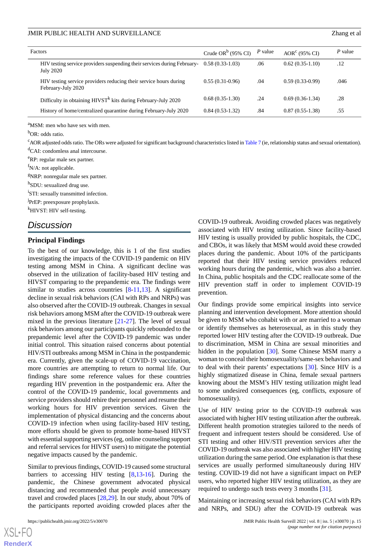| Factors                                                                                 | Crude OR $b$ (95% CI) | P value | $AORc$ (95% CI)   | $P$ value |
|-----------------------------------------------------------------------------------------|-----------------------|---------|-------------------|-----------|
| HIV testing service providers suspending their services during February-<br>July 2020   | $0.58(0.33-1.03)$     | .06     | $0.62(0.35-1.10)$ | .12       |
| HIV testing service providers reducing their service hours during<br>February-July 2020 | $0.55(0.31-0.96)$     | .04     | $0.59(0.33-0.99)$ | .046      |
| Difficulty in obtaining $HIVSTk$ kits during February-July 2020                         | $0.68(0.35-1.30)$     | .24     | $0.69(0.36-1.34)$ | .28       |
| History of home/centralized quarantine during February-July 2020                        | $0.84(0.53-1.32)$     | .84     | $0.87(0.55-1.38)$ | .55       |

<sup>a</sup>MSM: men who have sex with men.

<sup>b</sup>OR: odds ratio.

<sup>c</sup>AOR adjusted odds ratio. The ORs were adjusted for significant background characteristics listed in [Table 7](#page-12-0) (ie, relationship status and sexual orientation).

<sup>d</sup>CAI: condomless anal intercourse.

<sup>e</sup>RP: regular male sex partner.

 $f_{N/A}$ : not applicable.

<sup>g</sup>NRP: nonregular male sex partner.

<sup>h</sup>SDU: sexualized drug use.

<sup>i</sup>STI: sexually transmitted infection.

<sup>j</sup>PrEP: preexposure prophylaxis.

<sup>k</sup>HIVST: HIV self-testing.

#### *Discussion*

#### **Principal Findings**

To the best of our knowledge, this is 1 of the first studies investigating the impacts of the COVID-19 pandemic on HIV testing among MSM in China. A significant decline was observed in the utilization of facility-based HIV testing and HIVST comparing to the prepandemic era. The findings were similar to studies across countries  $[8-11,13]$  $[8-11,13]$  $[8-11,13]$  $[8-11,13]$  $[8-11,13]$ . A significant decline in sexual risk behaviors (CAI with RPs and NRPs) was also observed after the COVID-19 outbreak. Changes in sexual risk behaviors among MSM after the COVID-19 outbreak were mixed in the previous literature [\[21](#page-17-2)-[27\]](#page-17-3). The level of sexual risk behaviors among our participants quickly rebounded to the prepandemic level after the COVID-19 pandemic was under initial control. This situation raised concerns about potential HIV/STI outbreaks among MSM in China in the postpandemic era. Currently, given the scale-up of COVID-19 vaccination, more countries are attempting to return to normal life. Our findings share some reference values for these countries regarding HIV prevention in the postpandemic era. After the control of the COVID-19 pandemic, local governments and service providers should rehire their personnel and resume their working hours for HIV prevention services. Given the implementation of physical distancing and the concerns about COVID-19 infection when using facility-based HIV testing, more efforts should be given to promote home-based HIVST with essential supporting services (eg, online counseling support and referral services for HIVST users) to mitigate the potential negative impacts caused by the pandemic.

Similar to previous findings, COVID-19 caused some structural barriers to accessing HIV testing [[8](#page-16-7)[,13](#page-16-12)-[16\]](#page-16-13). During the pandemic, the Chinese government advocated physical distancing and recommended that people avoid unnecessary travel and crowded places [[28](#page-17-4)[,29](#page-17-5)]. In our study, about 70% of the participants reported avoiding crowded places after the

COVID-19 outbreak. Avoiding crowded places was negatively associated with HIV testing utilization. Since facility-based HIV testing is usually provided by public hospitals, the CDC, and CBOs, it was likely that MSM would avoid these crowded places during the pandemic. About 10% of the participants reported that their HIV testing service providers reduced working hours during the pandemic, which was also a barrier. In China, public hospitals and the CDC reallocate some of the HIV prevention staff in order to implement COVID-19 prevention.

Our findings provide some empirical insights into service planning and intervention development. More attention should be given to MSM who cohabit with or are married to a woman or identify themselves as heterosexual, as in this study they reported lower HIV testing after the COVID-19 outbreak. Due to discrimination, MSM in China are sexual minorities and hidden in the population [[30\]](#page-17-6). Some Chinese MSM marry a woman to conceal their homosexuality/same-sex behaviors and to deal with their parents' expectations [\[30](#page-17-6)]. Since HIV is a highly stigmatized disease in China, female sexual partners knowing about the MSM's HIV testing utilization might lead to some undesired consequences (eg, conflicts, exposure of homosexuality).

Use of HIV testing prior to the COVID-19 outbreak was associated with higher HIV testing utilization after the outbreak. Different health promotion strategies tailored to the needs of frequent and infrequent testers should be considered. Use of STI testing and other HIV/STI prevention services after the COVID-19 outbreak was also associated with higher HIV testing utilization during the same period. One explanation is that these services are usually performed simultaneously during HIV testing. COVID-19 did not have a significant impact on PrEP users, who reported higher HIV testing utilization, as they are required to undergo such tests every 3 months [\[31](#page-17-7)].

Maintaining or increasing sexual risk behaviors (CAI with RPs and NRPs, and SDU) after the COVID-19 outbreak was

 $XS$  • FC **[RenderX](http://www.renderx.com/)**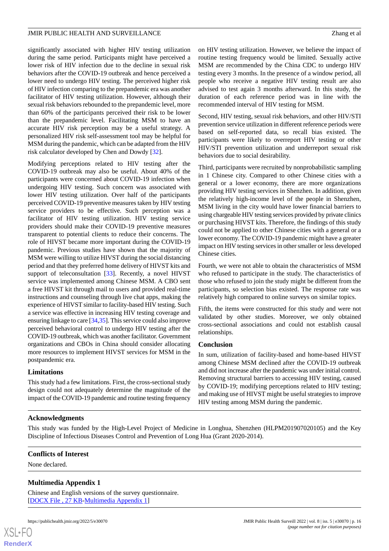significantly associated with higher HIV testing utilization during the same period. Participants might have perceived a lower risk of HIV infection due to the decline in sexual risk behaviors after the COVID-19 outbreak and hence perceived a lower need to undergo HIV testing. The perceived higher risk of HIV infection comparing to the prepandemic era was another facilitator of HIV testing utilization. However, although their sexual risk behaviors rebounded to the prepandemic level, more than 60% of the participants perceived their risk to be lower than the prepandemic level. Facilitating MSM to have an accurate HIV risk perception may be a useful strategy. A personalized HIV risk self-assessment tool may be helpful for MSM during the pandemic, which can be adapted from the HIV risk calculator developed by Chen and Dowdy [\[32](#page-17-8)].

Modifying perceptions related to HIV testing after the COVID-19 outbreak may also be useful. About 40% of the participants were concerned about COVID-19 infection when undergoing HIV testing. Such concern was associated with lower HIV testing utilization. Over half of the participants perceived COVID-19 preventive measures taken by HIV testing service providers to be effective. Such perception was a facilitator of HIV testing utilization. HIV testing service providers should make their COVID-19 preventive measures transparent to potential clients to reduce their concerns. The role of HIVST became more important during the COVID-19 pandemic. Previous studies have shown that the majority of MSM were willing to utilize HIVST during the social distancing period and that they preferred home delivery of HIVST kits and support of teleconsultation [[33\]](#page-17-9). Recently, a novel HIVST service was implemented among Chinese MSM. A CBO sent a free HIVST kit through mail to users and provided real-time instructions and counseling through live chat apps, making the experience of HIVST similar to facility-based HIV testing. Such a service was effective in increasing HIV testing coverage and ensuring linkage to care [[34](#page-17-10),[35\]](#page-17-11). This service could also improve perceived behavioral control to undergo HIV testing after the COVID-19 outbreak, which was another facilitator. Government organizations and CBOs in China should consider allocating more resources to implement HIVST services for MSM in the postpandemic era.

#### **Limitations**

This study had a few limitations. First, the cross-sectional study design could not adequately determine the magnitude of the impact of the COVID-19 pandemic and routine testing frequency on HIV testing utilization. However, we believe the impact of routine testing frequency would be limited. Sexually active MSM are recommended by the China CDC to undergo HIV testing every 3 months. In the presence of a window period, all people who receive a negative HIV testing result are also advised to test again 3 months afterward. In this study, the duration of each reference period was in line with the recommended interval of HIV testing for MSM.

Second, HIV testing, sexual risk behaviors, and other HIV/STI prevention service utilization in different reference periods were based on self-reported data, so recall bias existed. The participants were likely to overreport HIV testing or other HIV/STI prevention utilization and underreport sexual risk behaviors due to social desirability.

Third, participants were recruited by nonprobabilistic sampling in 1 Chinese city. Compared to other Chinese cities with a general or a lower economy, there are more organizations providing HIV testing services in Shenzhen. In addition, given the relatively high-income level of the people in Shenzhen, MSM living in the city would have lower financial barriers to using chargeable HIV testing services provided by private clinics or purchasing HIVST kits. Therefore, the findings of this study could not be applied to other Chinese cities with a general or a lower economy. The COVID-19 pandemic might have a greater impact on HIV testing services in other smaller or less developed Chinese cities.

Fourth, we were not able to obtain the characteristics of MSM who refused to participate in the study. The characteristics of those who refused to join the study might be different from the participants, so selection bias existed. The response rate was relatively high compared to online surveys on similar topics.

Fifth, the items were constructed for this study and were not validated by other studies. Moreover, we only obtained cross-sectional associations and could not establish causal relationships.

#### **Conclusion**

In sum, utilization of facility-based and home-based HIVST among Chinese MSM declined after the COVID-19 outbreak and did not increase after the pandemic was under initial control. Removing structural barriers to accessing HIV testing, caused by COVID-19; modifying perceptions related to HIV testing; and making use of HIVST might be useful strategies to improve HIV testing among MSM during the pandemic.

#### **Acknowledgments**

<span id="page-15-0"></span>This study was funded by the High-Level Project of Medicine in Longhua, Shenzhen (HLPM201907020105) and the Key Discipline of Infectious Diseases Control and Prevention of Long Hua (Grant 2020-2014).

#### **Conflicts of Interest**

None declared.

#### **Multimedia Appendix 1**

Chinese and English versions of the survey questionnaire. [[DOCX File , 27 KB](https://jmir.org/api/download?alt_name=publichealth_v8i5e30070_app1.docx&filename=02ec3f0b4ed3144a729aaa827077847b.docx)-[Multimedia Appendix 1\]](https://jmir.org/api/download?alt_name=publichealth_v8i5e30070_app1.docx&filename=02ec3f0b4ed3144a729aaa827077847b.docx)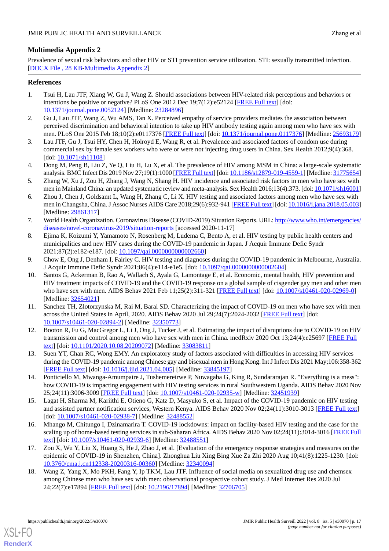### <span id="page-16-16"></span>**Multimedia Appendix 2**

Prevalence of sexual risk behaviors and other HIV or STI prevention service utilization. STI: sexually transmitted infection. [[DOCX File , 28 KB](https://jmir.org/api/download?alt_name=publichealth_v8i5e30070_app2.docx&filename=93033632227e4f3cb891c16561323eeb.docx)-[Multimedia Appendix 2\]](https://jmir.org/api/download?alt_name=publichealth_v8i5e30070_app2.docx&filename=93033632227e4f3cb891c16561323eeb.docx)

#### <span id="page-16-0"></span>**References**

- 1. Tsui H, Lau JTF, Xiang W, Gu J, Wang Z. Should associations between HIV-related risk perceptions and behaviors or intentions be positive or negative? PLoS One 2012 Dec 19;7(12):e52124 [[FREE Full text](https://dx.plos.org/10.1371/journal.pone.0052124)] [doi: [10.1371/journal.pone.0052124\]](http://dx.doi.org/10.1371/journal.pone.0052124) [Medline: [23284896](http://www.ncbi.nlm.nih.gov/entrez/query.fcgi?cmd=Retrieve&db=PubMed&list_uids=23284896&dopt=Abstract)]
- <span id="page-16-2"></span><span id="page-16-1"></span>2. Gu J, Lau JTF, Wang Z, Wu AMS, Tan X. Perceived empathy of service providers mediates the association between perceived discrimination and behavioral intention to take up HIV antibody testing again among men who have sex with men. PLoS One 2015 Feb 18;10(2):e0117376 [\[FREE Full text\]](https://dx.plos.org/10.1371/journal.pone.0117376) [doi: [10.1371/journal.pone.0117376](http://dx.doi.org/10.1371/journal.pone.0117376)] [Medline: [25693179](http://www.ncbi.nlm.nih.gov/entrez/query.fcgi?cmd=Retrieve&db=PubMed&list_uids=25693179&dopt=Abstract)]
- <span id="page-16-3"></span>3. Lau JTF, Gu J, Tsui HY, Chen H, Holroyd E, Wang R, et al. Prevalence and associated factors of condom use during commercial sex by female sex workers who were or were not injecting drug users in China. Sex Health 2012;9(4):368. [doi: [10.1071/sh11108](http://dx.doi.org/10.1071/sh11108)]
- <span id="page-16-4"></span>4. Dong M, Peng B, Liu Z, Ye Q, Liu H, Lu X, et al. The prevalence of HIV among MSM in China: a large-scale systematic analysis. BMC Infect Dis 2019 Nov 27;19(1):1000 [\[FREE Full text\]](https://bmcinfectdis.biomedcentral.com/articles/10.1186/s12879-019-4559-1) [doi: [10.1186/s12879-019-4559-1](http://dx.doi.org/10.1186/s12879-019-4559-1)] [Medline: [31775654\]](http://www.ncbi.nlm.nih.gov/entrez/query.fcgi?cmd=Retrieve&db=PubMed&list_uids=31775654&dopt=Abstract)
- <span id="page-16-5"></span>5. Zhang W, Xu J, Zou H, Zhang J, Wang N, Shang H. HIV incidence and associated risk factors in men who have sex with men in Mainland China: an updated systematic review and meta-analysis. Sex Health 2016;13(4):373. [doi: [10.1071/sh16001](http://dx.doi.org/10.1071/sh16001)]
- <span id="page-16-6"></span>6. Zhou J, Chen J, Goldsamt L, Wang H, Zhang C, Li X. HIV testing and associated factors among men who have sex with men in Changsha, China. J Assoc Nurses AIDS Care 2018;29(6):932-941 [\[FREE Full text\]](http://europepmc.org/abstract/MED/29861317) [doi: [10.1016/j.jana.2018.05.003\]](http://dx.doi.org/10.1016/j.jana.2018.05.003) [Medline: [29861317](http://www.ncbi.nlm.nih.gov/entrez/query.fcgi?cmd=Retrieve&db=PubMed&list_uids=29861317&dopt=Abstract)]
- <span id="page-16-7"></span>7. World Health Organization. Coronavirus Disease (COVID-2019) Situation Reports. URL: [http://www.who.int/emergencies/](http://www.who.int/emergencies/diseases/novel-coronavirus-2019/situation-reports) [diseases/novel-coronavirus-2019/situation-reports](http://www.who.int/emergencies/diseases/novel-coronavirus-2019/situation-reports) [accessed 2020-11-17]
- <span id="page-16-8"></span>8. Ejima K, Koizumi Y, Yamamoto N, Rosenberg M, Ludema C, Bento A, et al. HIV testing by public health centers and municipalities and new HIV cases during the COVID-19 pandemic in Japan. J Acquir Immune Defic Syndr 2021;87(2):e182-e187. [doi: [10.1097/qai.0000000000002660](http://dx.doi.org/10.1097/qai.0000000000002660)]
- <span id="page-16-9"></span>9. Chow E, Ong J, Denham I, Fairley C. HIV testing and diagnoses during the COVID-19 pandemic in Melbourne, Australia. J Acquir Immune Defic Syndr 2021;86(4):e114-e1e5. [doi: [10.1097/qai.0000000000002604](http://dx.doi.org/10.1097/qai.0000000000002604)]
- <span id="page-16-10"></span>10. Santos G, Ackerman B, Rao A, Wallach S, Ayala G, Lamontage E, et al. Economic, mental health, HIV prevention and HIV treatment impacts of COVID-19 and the COVID-19 response on a global sample of cisgender gay men and other men who have sex with men. AIDS Behav 2021 Feb 11;25(2):311-321 [[FREE Full text\]](http://europepmc.org/abstract/MED/32654021) [doi:  $10.1007/s10461-020-02969-0$ ] [Medline: [32654021](http://www.ncbi.nlm.nih.gov/entrez/query.fcgi?cmd=Retrieve&db=PubMed&list_uids=32654021&dopt=Abstract)]
- <span id="page-16-11"></span>11. Sanchez TH, Zlotorzynska M, Rai M, Baral SD. Characterizing the impact of COVID-19 on men who have sex with men across the United States in April, 2020. AIDS Behav 2020 Jul 29;24(7):2024-2032 [[FREE Full text](http://europepmc.org/abstract/MED/32350773)] [doi: [10.1007/s10461-020-02894-2\]](http://dx.doi.org/10.1007/s10461-020-02894-2) [Medline: [32350773\]](http://www.ncbi.nlm.nih.gov/entrez/query.fcgi?cmd=Retrieve&db=PubMed&list_uids=32350773&dopt=Abstract)
- <span id="page-16-12"></span>12. Booton R, Fu G, MacGregor L, Li J, Ong J, Tucker J, et al. Estimating the impact of disruptions due to COVID-19 on HIV transmission and control among men who have sex with men in China. medRxiv 2020 Oct 13;24(4):e25697 [\[FREE Full](https://doi.org/10.1101/2020.10.08.20209072) [text](https://doi.org/10.1101/2020.10.08.20209072)] [doi: [10.1101/2020.10.08.20209072](http://dx.doi.org/10.1101/2020.10.08.20209072)] [Medline: [33083811](http://www.ncbi.nlm.nih.gov/entrez/query.fcgi?cmd=Retrieve&db=PubMed&list_uids=33083811&dopt=Abstract)]
- 13. Suen YT, Chan RC, Wong EMY. An exploratory study of factors associated with difficulties in accessing HIV services during the COVID-19 pandemic among Chinese gay and bisexual men in Hong Kong. Int J Infect Dis 2021 May;106:358-362 [[FREE Full text](https://linkinghub.elsevier.com/retrieve/pii/S1201-9712(21)00316-7)] [doi: [10.1016/j.ijid.2021.04.005\]](http://dx.doi.org/10.1016/j.ijid.2021.04.005) [Medline: [33845197\]](http://www.ncbi.nlm.nih.gov/entrez/query.fcgi?cmd=Retrieve&db=PubMed&list_uids=33845197&dopt=Abstract)
- <span id="page-16-13"></span>14. Ponticiello M, Mwanga-Amumpaire J, Tushemereirwe P, Nuwagaba G, King R, Sundararajan R. "Everything is a mess": how COVID-19 is impacting engagement with HIV testing services in rural Southwestern Uganda. AIDS Behav 2020 Nov 25;24(11):3006-3009 [[FREE Full text](http://europepmc.org/abstract/MED/32451939)] [doi: [10.1007/s10461-020-02935-w\]](http://dx.doi.org/10.1007/s10461-020-02935-w) [Medline: [32451939\]](http://www.ncbi.nlm.nih.gov/entrez/query.fcgi?cmd=Retrieve&db=PubMed&list_uids=32451939&dopt=Abstract)
- <span id="page-16-14"></span>15. Lagat H, Sharma M, Kariithi E, Otieno G, Katz D, Masyuko S, et al. Impact of the COVID-19 pandemic on HIV testing and assisted partner notification services, Western Kenya. AIDS Behav 2020 Nov 02;24(11):3010-3013 [\[FREE Full text\]](http://europepmc.org/abstract/MED/32488552) [doi: [10.1007/s10461-020-02938-7](http://dx.doi.org/10.1007/s10461-020-02938-7)] [Medline: [32488552\]](http://www.ncbi.nlm.nih.gov/entrez/query.fcgi?cmd=Retrieve&db=PubMed&list_uids=32488552&dopt=Abstract)
- <span id="page-16-15"></span>16. Mhango M, Chitungo I, Dzinamarira T. COVID-19 lockdowns: impact on facility-based HIV testing and the case for the scaling up of home-based testing services in sub-Saharan Africa. AIDS Behav 2020 Nov 02;24(11):3014-3016 [\[FREE Full](http://europepmc.org/abstract/MED/32488551) [text](http://europepmc.org/abstract/MED/32488551)] [doi: [10.1007/s10461-020-02939-6\]](http://dx.doi.org/10.1007/s10461-020-02939-6) [Medline: [32488551\]](http://www.ncbi.nlm.nih.gov/entrez/query.fcgi?cmd=Retrieve&db=PubMed&list_uids=32488551&dopt=Abstract)
- 17. Zou X, Wu Y, Liu X, Huang S, He J, Zhao J, et al. [Evaluation of the emergency response strategies and measures on the epidemic of COVID-19 in Shenzhen, China]. Zhonghua Liu Xing Bing Xue Za Zhi 2020 Aug 10;41(8):1225-1230. [doi: [10.3760/cma.j.cn112338-20200316-00360](http://dx.doi.org/10.3760/cma.j.cn112338-20200316-00360)] [Medline: [32340094](http://www.ncbi.nlm.nih.gov/entrez/query.fcgi?cmd=Retrieve&db=PubMed&list_uids=32340094&dopt=Abstract)]
- 18. Wang Z, Yang X, Mo PKH, Fang Y, Ip TKM, Lau JTF. Influence of social media on sexualized drug use and chemsex among Chinese men who have sex with men: observational prospective cohort study. J Med Internet Res 2020 Jul 24;22(7):e17894 [\[FREE Full text](https://www.jmir.org/2020/7/e17894/)] [doi: [10.2196/17894\]](http://dx.doi.org/10.2196/17894) [Medline: [32706705\]](http://www.ncbi.nlm.nih.gov/entrez/query.fcgi?cmd=Retrieve&db=PubMed&list_uids=32706705&dopt=Abstract)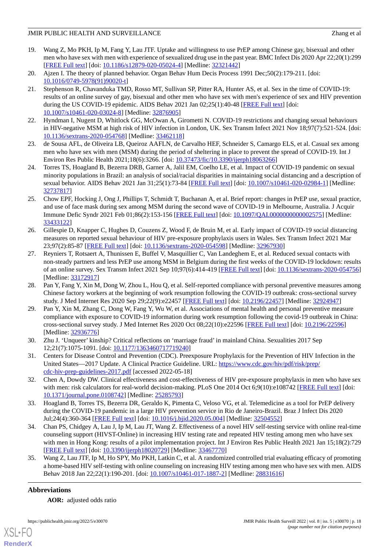- <span id="page-17-0"></span>19. Wang Z, Mo PKH, Ip M, Fang Y, Lau JTF. Uptake and willingness to use PrEP among Chinese gay, bisexual and other men who have sex with men with experience of sexualized drug use in the past year. BMC Infect Dis 2020 Apr 22;20(1):299 [[FREE Full text](https://bmcinfectdis.biomedcentral.com/articles/10.1186/s12879-020-05024-4)] [doi: [10.1186/s12879-020-05024-4\]](http://dx.doi.org/10.1186/s12879-020-05024-4) [Medline: [32321442](http://www.ncbi.nlm.nih.gov/entrez/query.fcgi?cmd=Retrieve&db=PubMed&list_uids=32321442&dopt=Abstract)]
- <span id="page-17-2"></span><span id="page-17-1"></span>20. Ajzen I. The theory of planned behavior. Organ Behav Hum Decis Process 1991 Dec;50(2):179-211. [doi: [10.1016/0749-5978\(91\)90020-t\]](http://dx.doi.org/10.1016/0749-5978(91)90020-t)
- 21. Stephenson R, Chavanduka TMD, Rosso MT, Sullivan SP, Pitter RA, Hunter AS, et al. Sex in the time of COVID-19: results of an online survey of gay, bisexual and other men who have sex with men's experience of sex and HIV prevention during the US COVID-19 epidemic. AIDS Behav 2021 Jan 02;25(1):40-48 [\[FREE Full text\]](http://europepmc.org/abstract/MED/32876905) [doi: [10.1007/s10461-020-03024-8\]](http://dx.doi.org/10.1007/s10461-020-03024-8) [Medline: [32876905\]](http://www.ncbi.nlm.nih.gov/entrez/query.fcgi?cmd=Retrieve&db=PubMed&list_uids=32876905&dopt=Abstract)
- 22. Hyndman I, Nugent D, Whitlock GG, McOwan A, Girometti N. COVID-19 restrictions and changing sexual behaviours in HIV-negative MSM at high risk of HIV infection in London, UK. Sex Transm Infect 2021 Nov 18;97(7):521-524. [doi: [10.1136/sextrans-2020-054768](http://dx.doi.org/10.1136/sextrans-2020-054768)] [Medline: [33462118\]](http://www.ncbi.nlm.nih.gov/entrez/query.fcgi?cmd=Retrieve&db=PubMed&list_uids=33462118&dopt=Abstract)
- 23. de Sousa AFL, de Oliveira LB, Queiroz AAFLN, de Carvalho HEF, Schneider S, Camargo ELS, et al. Casual sex among men who have sex with men (MSM) during the period of sheltering in place to prevent the spread of COVID-19. Int J Environ Res Public Health 2021;18(6):3266. [doi: [10.37473/fic/10.3390/ijerph18063266](http://dx.doi.org/10.37473/fic/10.3390/ijerph18063266)]
- 24. Torres TS, Hoagland B, Bezerra DRB, Garner A, Jalil EM, Coelho LE, et al. Impact of COVID-19 pandemic on sexual minority populations in Brazil: an analysis of social/racial disparities in maintaining social distancing and a description of sexual behavior. AIDS Behav 2021 Jan 31;25(1):73-84 [\[FREE Full text](http://europepmc.org/abstract/MED/32737817)] [doi: [10.1007/s10461-020-02984-1\]](http://dx.doi.org/10.1007/s10461-020-02984-1) [Medline: [32737817](http://www.ncbi.nlm.nih.gov/entrez/query.fcgi?cmd=Retrieve&db=PubMed&list_uids=32737817&dopt=Abstract)]
- 25. Chow EPF, Hocking J, Ong J, Phillips T, Schmidt T, Buchanan A, et al. Brief report: changes in PrEP use, sexual practice, and use of face mask during sex among MSM during the second wave of COVID-19 in Melbourne, Australia. J Acquir Immune Defic Syndr 2021 Feb 01;86(2):153-156 [[FREE Full text](http://europepmc.org/abstract/MED/33433122)] [doi: [10.1097/QAI.0000000000002575\]](http://dx.doi.org/10.1097/QAI.0000000000002575) [Medline: [33433122](http://www.ncbi.nlm.nih.gov/entrez/query.fcgi?cmd=Retrieve&db=PubMed&list_uids=33433122&dopt=Abstract)]
- <span id="page-17-3"></span>26. Gillespie D, Knapper C, Hughes D, Couzens Z, Wood F, de Bruin M, et al. Early impact of COVID-19 social distancing measures on reported sexual behaviour of HIV pre-exposure prophylaxis users in Wales. Sex Transm Infect 2021 Mar 23;97(2):85-87 [[FREE Full text](http://sti.bmj.com/lookup/pmidlookup?view=long&pmid=32967930)] [doi: [10.1136/sextrans-2020-054598](http://dx.doi.org/10.1136/sextrans-2020-054598)] [Medline: [32967930\]](http://www.ncbi.nlm.nih.gov/entrez/query.fcgi?cmd=Retrieve&db=PubMed&list_uids=32967930&dopt=Abstract)
- <span id="page-17-4"></span>27. Reyniers T, Rotsaert A, Thunissen E, Buffel V, Masquillier C, Van Landeghem E, et al. Reduced sexual contacts with non-steady partners and less PrEP use among MSM in Belgium during the first weeks of the COVID-19 lockdown: results of an online survey. Sex Transm Infect 2021 Sep 10;97(6):414-419 [[FREE Full text](http://sti.bmj.com/lookup/pmidlookup?view=long&pmid=33172917)] [doi: [10.1136/sextrans-2020-054756](http://dx.doi.org/10.1136/sextrans-2020-054756)] [Medline: [33172917](http://www.ncbi.nlm.nih.gov/entrez/query.fcgi?cmd=Retrieve&db=PubMed&list_uids=33172917&dopt=Abstract)]
- <span id="page-17-5"></span>28. Pan Y, Fang Y, Xin M, Dong W, Zhou L, Hou Q, et al. Self-reported compliance with personal preventive measures among Chinese factory workers at the beginning of work resumption following the COVID-19 outbreak: cross-sectional survey study. J Med Internet Res 2020 Sep 29;22(9):e22457 [\[FREE Full text\]](https://www.jmir.org/2020/9/e22457/) [doi: [10.2196/22457](http://dx.doi.org/10.2196/22457)] [Medline: [32924947](http://www.ncbi.nlm.nih.gov/entrez/query.fcgi?cmd=Retrieve&db=PubMed&list_uids=32924947&dopt=Abstract)]
- <span id="page-17-7"></span><span id="page-17-6"></span>29. Pan Y, Xin M, Zhang C, Dong W, Fang Y, Wu W, et al. Associations of mental health and personal preventive measure compliance with exposure to COVID-19 information during work resumption following the covid-19 outbreak in China: cross-sectional survey study. J Med Internet Res 2020 Oct 08;22(10):e22596 [[FREE Full text](https://www.jmir.org/2020/10/e22596/)] [doi: [10.2196/22596](http://dx.doi.org/10.2196/22596)] [Medline: [32936776](http://www.ncbi.nlm.nih.gov/entrez/query.fcgi?cmd=Retrieve&db=PubMed&list_uids=32936776&dopt=Abstract)]
- <span id="page-17-8"></span>30. Zhu J. 'Unqueer' kinship? Critical reflections on 'marriage fraud' in mainland China. Sexualities 2017 Sep 12;21(7):1075-1091. [doi: [10.1177/1363460717719240\]](http://dx.doi.org/10.1177/1363460717719240)
- <span id="page-17-9"></span>31. Centers for Disease Control and Prevention (CDC). Preexposure Prophylaxis for the Prevention of HIV Infection in the United States—2017 Update. A Clinical Practice Guideline. URL: [https://www.cdc.gov/hiv/pdf/risk/prep/](https://www.cdc.gov/hiv/pdf/risk/prep/cdc-hiv-prep-guidelines-2017.pdf) [cdc-hiv-prep-guidelines-2017.pdf](https://www.cdc.gov/hiv/pdf/risk/prep/cdc-hiv-prep-guidelines-2017.pdf) [accessed 2022-05-18]
- <span id="page-17-10"></span>32. Chen A, Dowdy DW. Clinical effectiveness and cost-effectiveness of HIV pre-exposure prophylaxis in men who have sex with men: risk calculators for real-world decision-making. PLoS One 2014 Oct 6;9(10):e108742 [\[FREE Full text\]](https://dx.plos.org/10.1371/journal.pone.0108742) [doi: [10.1371/journal.pone.0108742\]](http://dx.doi.org/10.1371/journal.pone.0108742) [Medline: [25285793](http://www.ncbi.nlm.nih.gov/entrez/query.fcgi?cmd=Retrieve&db=PubMed&list_uids=25285793&dopt=Abstract)]
- <span id="page-17-11"></span>33. Hoagland B, Torres TS, Bezerra DR, Geraldo K, Pimenta C, Veloso VG, et al. Telemedicine as a tool for PrEP delivery during the COVID-19 pandemic in a large HIV prevention service in Rio de Janeiro-Brazil. Braz J Infect Dis 2020 Jul;24(4):360-364 [[FREE Full text\]](https://linkinghub.elsevier.com/retrieve/pii/S1413-8670(20)30065-9) [doi: [10.1016/j.bjid.2020.05.004\]](http://dx.doi.org/10.1016/j.bjid.2020.05.004) [Medline: [32504552\]](http://www.ncbi.nlm.nih.gov/entrez/query.fcgi?cmd=Retrieve&db=PubMed&list_uids=32504552&dopt=Abstract)
- 34. Chan PS, Chidgey A, Lau J, Ip M, Lau JT, Wang Z. Effectiveness of a novel HIV self-testing service with online real-time counseling support (HIVST-Online) in increasing HIV testing rate and repeated HIV testing among men who have sex with men in Hong Kong: results of a pilot implementation project. Int J Environ Res Public Health 2021 Jan 15;18(2):729 [[FREE Full text](https://www.mdpi.com/resolver?pii=ijerph18020729)] [doi: [10.3390/ijerph18020729](http://dx.doi.org/10.3390/ijerph18020729)] [Medline: [33467770\]](http://www.ncbi.nlm.nih.gov/entrez/query.fcgi?cmd=Retrieve&db=PubMed&list_uids=33467770&dopt=Abstract)
- 35. Wang Z, Lau JTF, Ip M, Ho SPY, Mo PKH, Latkin C, et al. A randomized controlled trial evaluating efficacy of promoting a home-based HIV self-testing with online counseling on increasing HIV testing among men who have sex with men. AIDS Behav 2018 Jan 22;22(1):190-201. [doi: [10.1007/s10461-017-1887-2\]](http://dx.doi.org/10.1007/s10461-017-1887-2) [Medline: [28831616\]](http://www.ncbi.nlm.nih.gov/entrez/query.fcgi?cmd=Retrieve&db=PubMed&list_uids=28831616&dopt=Abstract)

#### **Abbreviations**

[XSL](http://www.w3.org/Style/XSL)•FO **[RenderX](http://www.renderx.com/)**

**AOR:** adjusted odds ratio